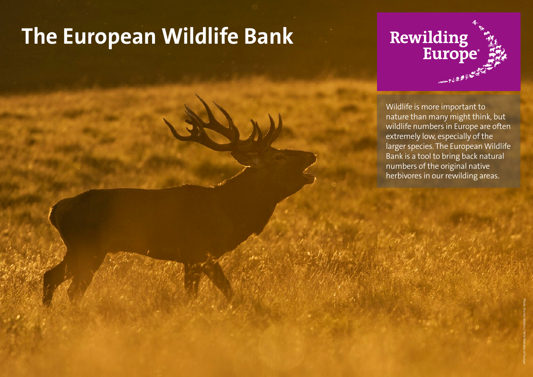## **The European Wildlife Bank**

# **Rewilding<br>Europe** 一个多多的

Wildlife is more important to nature than many might think, but wildlife numbers in Europe are often extremely low, especially of the larger species. The European Wildlife Bank is a tool to bring back natural numbers of the original native herbivores in our rewilding areas.

Photo: Florian Möllers / Wild Wonders of Europe